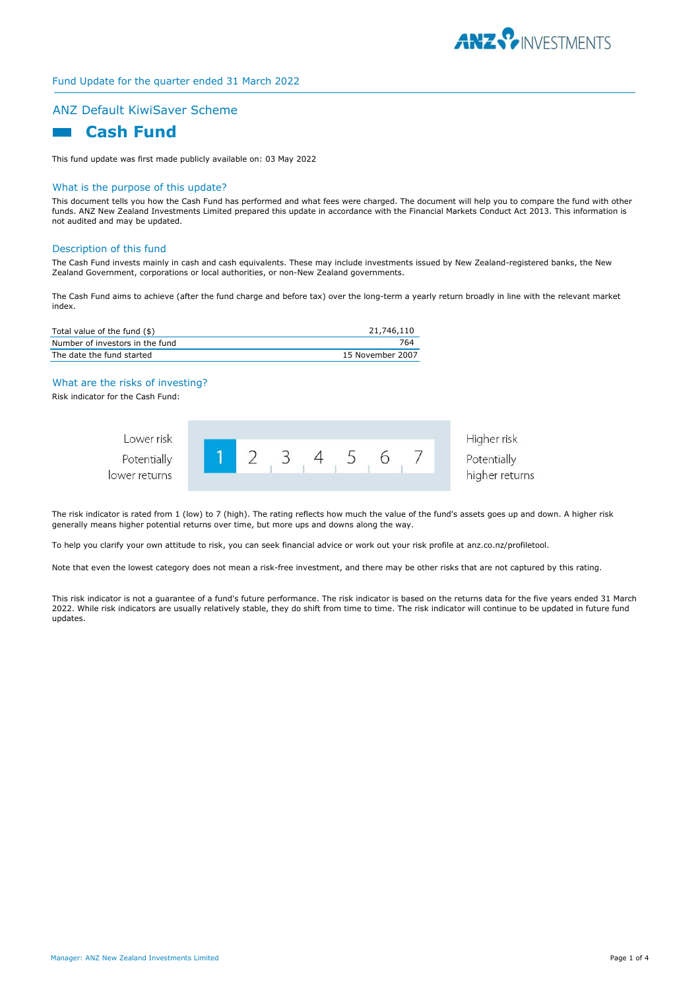

# ANZ Default KiwiSaver Scheme

# **Cash Fund**

This fund update was first made publicly available on: 03 May 2022

#### What is the purpose of this update?

This document tells you how the Cash Fund has performed and what fees were charged. The document will help you to compare the fund with other funds. ANZ New Zealand Investments Limited prepared this update in accordance with the Financial Markets Conduct Act 2013. This information is not audited and may be updated.

#### Description of this fund

The Cash Fund invests mainly in cash and cash equivalents. These may include investments issued by New Zealand-registered banks, the New Zealand Government, corporations or local authorities, or non-New Zealand governments.

The Cash Fund aims to achieve (after the fund charge and before tax) over the long-term a yearly return broadly in line with the relevant market index.

| Total value of the fund (\$)    | 21,746,110       |
|---------------------------------|------------------|
| Number of investors in the fund | 764              |
| The date the fund started       | 15 November 2007 |

#### What are the risks of investing?

Risk indicator for the Cash Fund:



The risk indicator is rated from 1 (low) to 7 (high). The rating reflects how much the value of the fund's assets goes up and down. A higher risk generally means higher potential returns over time, but more ups and downs along the way.

To help you clarify your own attitude to risk, you can seek financial advice or work out your risk profile at anz.co.nz/profiletool.

Note that even the lowest category does not mean a risk-free investment, and there may be other risks that are not captured by this rating.

This risk indicator is not a guarantee of a fund's future performance. The risk indicator is based on the returns data for the five years ended 31 March 2022. While risk indicators are usually relatively stable, they do shift from time to time. The risk indicator will continue to be updated in future fund updates.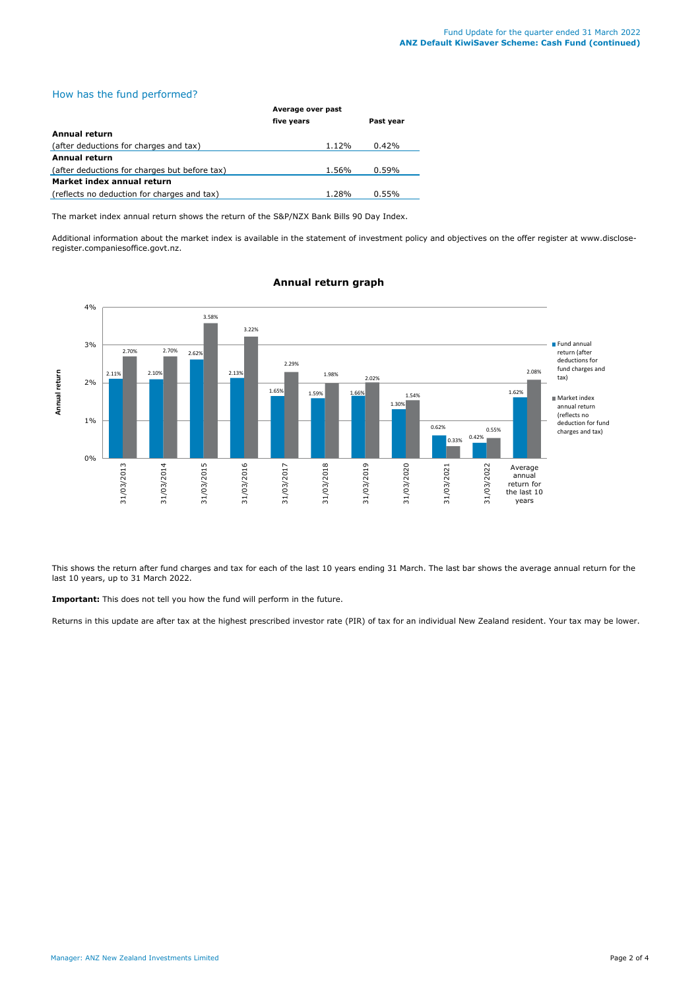## How has the fund performed?

|                                               | Average over past |           |  |
|-----------------------------------------------|-------------------|-----------|--|
|                                               | five years        | Past year |  |
| <b>Annual return</b>                          |                   |           |  |
| (after deductions for charges and tax)        | 1.12%             | 0.42%     |  |
| Annual return                                 |                   |           |  |
| (after deductions for charges but before tax) | 1.56%             | 0.59%     |  |
| Market index annual return                    |                   |           |  |
| (reflects no deduction for charges and tax)   | 1.28%             | 0.55%     |  |

The market index annual return shows the return of the S&P/NZX Bank Bills 90 Day Index.

Additional information about the market index is available in the statement of investment policy and objectives on the offer register at www.discloseregister.companiesoffice.govt.nz.



## **Annual return graph**

This shows the return after fund charges and tax for each of the last 10 years ending 31 March. The last bar shows the average annual return for the last 10 years, up to 31 March 2022.

**Important:** This does not tell you how the fund will perform in the future.

Returns in this update are after tax at the highest prescribed investor rate (PIR) of tax for an individual New Zealand resident. Your tax may be lower.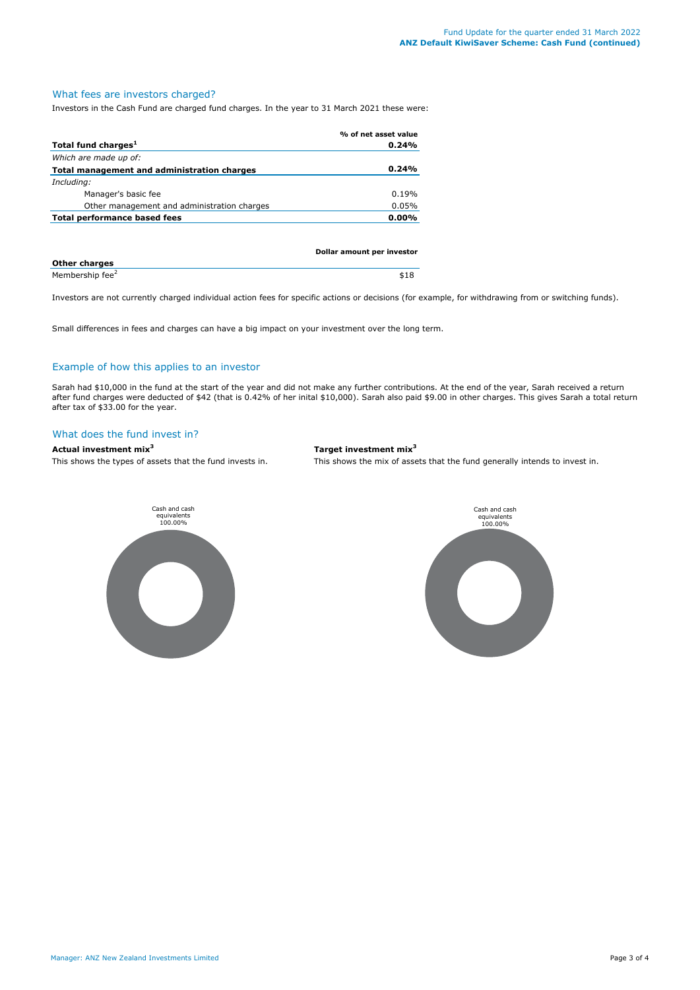# What fees are investors charged?

Investors in the Cash Fund are charged fund charges. In the year to 31 March 2021 these were:

|                                             | % of net asset value |
|---------------------------------------------|----------------------|
| Total fund charges <sup>1</sup>             | 0.24%                |
| Which are made up of:                       |                      |
| Total management and administration charges | 0.24%                |
| Including:                                  |                      |
| Manager's basic fee                         | 0.19%                |
| Other management and administration charges | 0.05%                |
| Total performance based fees                | $0.00\%$             |
|                                             |                      |
|                                             |                      |

|                             | Dollar amount per investor |
|-----------------------------|----------------------------|
| <b>Other charges</b>        |                            |
| Membership fee <sup>2</sup> | \$18                       |

Investors are not currently charged individual action fees for specific actions or decisions (for example, for withdrawing from or switching funds).

Small differences in fees and charges can have a big impact on your investment over the long term.

#### Example of how this applies to an investor

Sarah had \$10,000 in the fund at the start of the year and did not make any further contributions. At the end of the year, Sarah received a return after fund charges were deducted of \$42 (that is 0.42% of her inital \$10,000). Sarah also paid \$9.00 in other charges. This gives Sarah a total return after tax of \$33.00 for the year.

#### What does the fund invest in?

#### **Actual investment mix<sup>3</sup> Target investment mix<sup>3</sup>**

This shows the types of assets that the fund invests in. This shows the mix of assets that the fund generally intends to invest in.